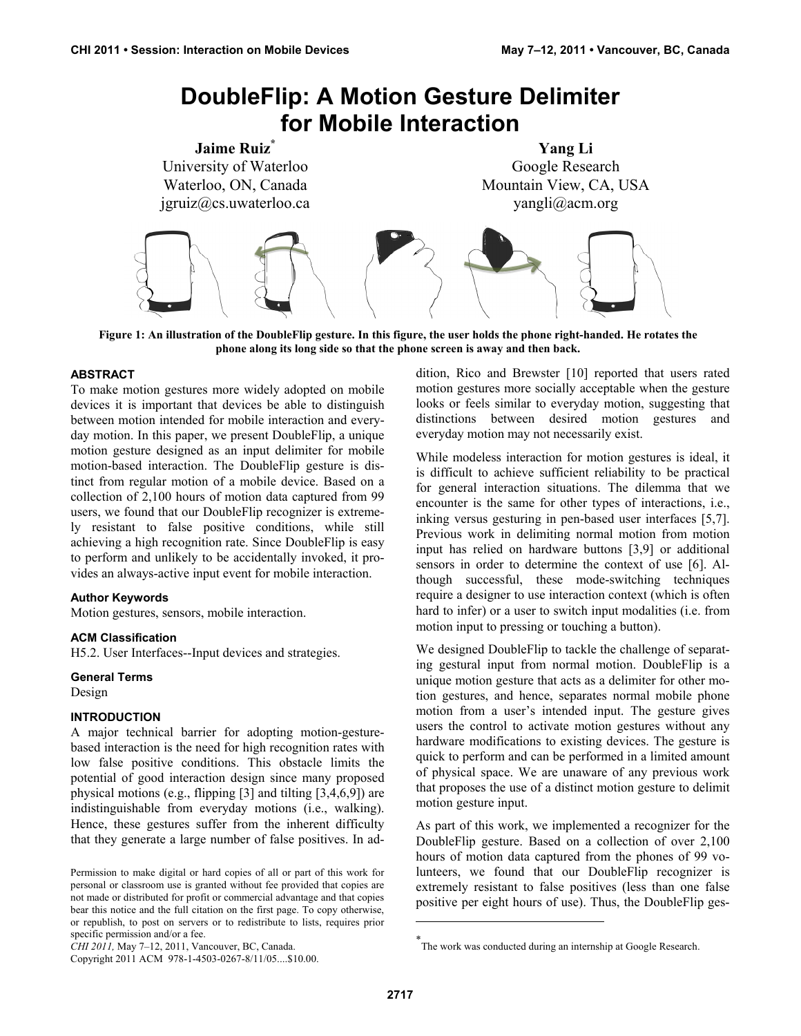# **DoubleFlip: A Motion Gesture Delimiter for Mobile Interaction**



**Figure 1: An illustration of the DoubleFlip gesture. In this figure, the user holds the phone right-handed. He rotates the phone along its long side so that the phone screen is away and then back.** 

## **ABSTRACT**

To make motion gestures more widely adopted on mobile devices it is important that devices be able to distinguish between motion intended for mobile interaction and everyday motion. In this paper, we present DoubleFlip, a unique motion gesture designed as an input delimiter for mobile motion-based interaction. The DoubleFlip gesture is distinct from regular motion of a mobile device. Based on a collection of 2,100 hours of motion data captured from 99 users, we found that our DoubleFlip recognizer is extremely resistant to false positive conditions, while still achieving a high recognition rate. Since DoubleFlip is easy to perform and unlikely to be accidentally invoked, it provides an always-active input event for mobile interaction.

### **Author Keywords**

Motion gestures, sensors, mobile interaction.

### **ACM Classification**

H5.2. User Interfaces--Input devices and strategies.

**General Terms** 

Design

### **INTRODUCTION**

A major technical barrier for adopting motion-gesturebased interaction is the need for high recognition rates with low false positive conditions. This obstacle limits the potential of good interaction design since many proposed physical motions (e.g., flipping [3] and tilting [3,4,6,9]) are indistinguishable from everyday motions (i.e., walking). Hence, these gestures suffer from the inherent difficulty that they generate a large number of false positives. In addition, Rico and Brewster [10] reported that users rated motion gestures more socially acceptable when the gesture looks or feels similar to everyday motion, suggesting that distinctions between desired motion gestures and everyday motion may not necessarily exist.

While modeless interaction for motion gestures is ideal, it is difficult to achieve sufficient reliability to be practical for general interaction situations. The dilemma that we encounter is the same for other types of interactions, i.e., inking versus gesturing in pen-based user interfaces [5,7]. Previous work in delimiting normal motion from motion input has relied on hardware buttons [3,9] or additional sensors in order to determine the context of use [6]. Although successful, these mode-switching techniques require a designer to use interaction context (which is often hard to infer) or a user to switch input modalities (i.e. from motion input to pressing or touching a button).

We designed DoubleFlip to tackle the challenge of separating gestural input from normal motion. DoubleFlip is a unique motion gesture that acts as a delimiter for other motion gestures, and hence, separates normal mobile phone motion from a user's intended input. The gesture gives users the control to activate motion gestures without any hardware modifications to existing devices. The gesture is quick to perform and can be performed in a limited amount of physical space. We are unaware of any previous work that proposes the use of a distinct motion gesture to delimit motion gesture input.

As part of this work, we implemented a recognizer for the DoubleFlip gesture. Based on a collection of over 2,100 hours of motion data captured from the phones of 99 volunteers, we found that our DoubleFlip recognizer is extremely resistant to false positives (less than one false positive per eight hours of use). Thus, the DoubleFlip ges-

 $\overline{a}$ 

Permission to make digital or hard copies of all or part of this work for personal or classroom use is granted without fee provided that copies are not made or distributed for profit or commercial advantage and that copies bear this notice and the full citation on the first page. To copy otherwise, or republish, to post on servers or to redistribute to lists, requires prior specific permission and/or a fee.

*CHI 2011,* May 7–12, 2011, Vancouver, BC, Canada.

Copyright 2011 ACM 978-1-4503-0267-8/11/05....\$10.00.

<sup>\*</sup> The work was conducted during an internship at Google Research.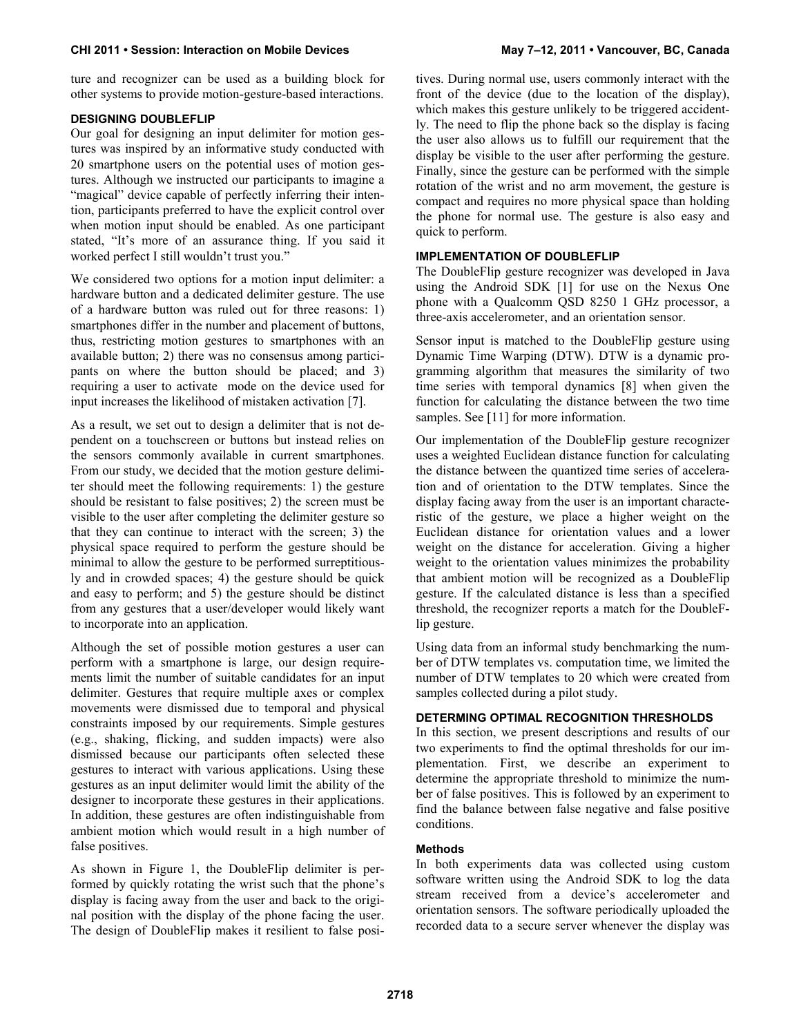## **CHI 2011 • Session: Interaction on Mobile Devices May 7–12, 2011 • Vancouver, BC, Canada**

ture and recognizer can be used as a building block for other systems to provide motion-gesture-based interactions.

# **DESIGNING DOUBLEFLIP**

Our goal for designing an input delimiter for motion gestures was inspired by an informative study conducted with 20 smartphone users on the potential uses of motion gestures. Although we instructed our participants to imagine a "magical" device capable of perfectly inferring their intention, participants preferred to have the explicit control over when motion input should be enabled. As one participant stated, "It's more of an assurance thing. If you said it worked perfect I still wouldn't trust you."

We considered two options for a motion input delimiter: a hardware button and a dedicated delimiter gesture. The use of a hardware button was ruled out for three reasons: 1) smartphones differ in the number and placement of buttons, thus, restricting motion gestures to smartphones with an available button; 2) there was no consensus among participants on where the button should be placed; and 3) requiring a user to activate mode on the device used for input increases the likelihood of mistaken activation [7].

As a result, we set out to design a delimiter that is not dependent on a touchscreen or buttons but instead relies on the sensors commonly available in current smartphones. From our study, we decided that the motion gesture delimiter should meet the following requirements: 1) the gesture should be resistant to false positives; 2) the screen must be visible to the user after completing the delimiter gesture so that they can continue to interact with the screen; 3) the physical space required to perform the gesture should be minimal to allow the gesture to be performed surreptitiously and in crowded spaces; 4) the gesture should be quick and easy to perform; and 5) the gesture should be distinct from any gestures that a user/developer would likely want to incorporate into an application.

Although the set of possible motion gestures a user can perform with a smartphone is large, our design requirements limit the number of suitable candidates for an input delimiter. Gestures that require multiple axes or complex movements were dismissed due to temporal and physical constraints imposed by our requirements. Simple gestures (e.g., shaking, flicking, and sudden impacts) were also dismissed because our participants often selected these gestures to interact with various applications. Using these gestures as an input delimiter would limit the ability of the designer to incorporate these gestures in their applications. In addition, these gestures are often indistinguishable from ambient motion which would result in a high number of false positives.

As shown in Figure 1, the DoubleFlip delimiter is performed by quickly rotating the wrist such that the phone's display is facing away from the user and back to the original position with the display of the phone facing the user. The design of DoubleFlip makes it resilient to false positives. During normal use, users commonly interact with the front of the device (due to the location of the display), which makes this gesture unlikely to be triggered accidently. The need to flip the phone back so the display is facing the user also allows us to fulfill our requirement that the display be visible to the user after performing the gesture. Finally, since the gesture can be performed with the simple rotation of the wrist and no arm movement, the gesture is compact and requires no more physical space than holding the phone for normal use. The gesture is also easy and quick to perform.

## **IMPLEMENTATION OF DOUBLEFLIP**

The DoubleFlip gesture recognizer was developed in Java using the Android SDK [1] for use on the Nexus One phone with a Qualcomm QSD 8250 1 GHz processor, a three-axis accelerometer, and an orientation sensor.

Sensor input is matched to the DoubleFlip gesture using Dynamic Time Warping (DTW). DTW is a dynamic programming algorithm that measures the similarity of two time series with temporal dynamics [8] when given the function for calculating the distance between the two time samples. See [11] for more information.

Our implementation of the DoubleFlip gesture recognizer uses a weighted Euclidean distance function for calculating the distance between the quantized time series of acceleration and of orientation to the DTW templates. Since the display facing away from the user is an important characteristic of the gesture, we place a higher weight on the Euclidean distance for orientation values and a lower weight on the distance for acceleration. Giving a higher weight to the orientation values minimizes the probability that ambient motion will be recognized as a DoubleFlip gesture. If the calculated distance is less than a specified threshold, the recognizer reports a match for the DoubleFlip gesture.

Using data from an informal study benchmarking the number of DTW templates vs. computation time, we limited the number of DTW templates to 20 which were created from samples collected during a pilot study.

# **DETERMING OPTIMAL RECOGNITION THRESHOLDS**

In this section, we present descriptions and results of our two experiments to find the optimal thresholds for our implementation. First, we describe an experiment to determine the appropriate threshold to minimize the number of false positives. This is followed by an experiment to find the balance between false negative and false positive conditions.

## **Methods**

In both experiments data was collected using custom software written using the Android SDK to log the data stream received from a device's accelerometer and orientation sensors. The software periodically uploaded the recorded data to a secure server whenever the display was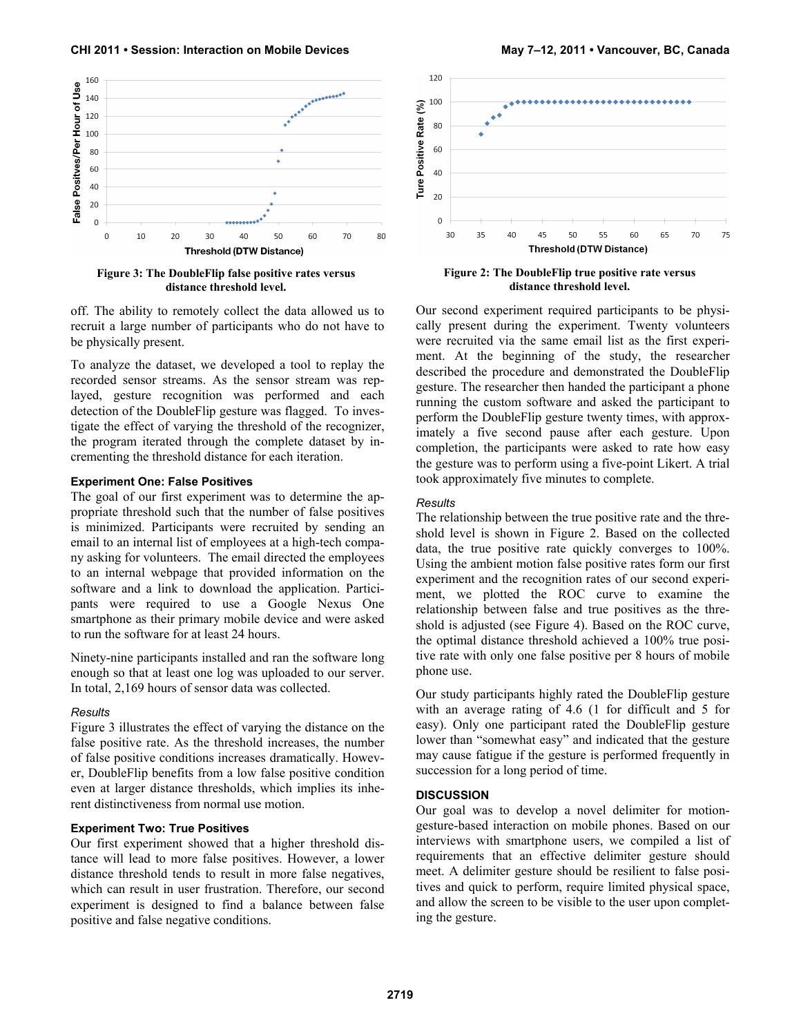

**Figure 3: The DoubleFlip false positive rates versus distance threshold level.**

off. The ability to remotely collect the data allowed us to recruit a large number of participants who do not have to be physically present.

To analyze the dataset, we developed a tool to replay the recorded sensor streams. As the sensor stream was replayed, gesture recognition was performed and each detection of the DoubleFlip gesture was flagged. To investigate the effect of varying the threshold of the recognizer, the program iterated through the complete dataset by incrementing the threshold distance for each iteration.

#### **Experiment One: False Positives**

The goal of our first experiment was to determine the appropriate threshold such that the number of false positives is minimized. Participants were recruited by sending an email to an internal list of employees at a high-tech company asking for volunteers. The email directed the employees to an internal webpage that provided information on the software and a link to download the application. Participants were required to use a Google Nexus One smartphone as their primary mobile device and were asked to run the software for at least 24 hours.

Ninety-nine participants installed and ran the software long enough so that at least one log was uploaded to our server. In total, 2,169 hours of sensor data was collected.

#### *Results*

Figure 3 illustrates the effect of varying the distance on the false positive rate. As the threshold increases, the number of false positive conditions increases dramatically. However, DoubleFlip benefits from a low false positive condition even at larger distance thresholds, which implies its inherent distinctiveness from normal use motion.

#### **Experiment Two: True Positives**

Our first experiment showed that a higher threshold distance will lead to more false positives. However, a lower distance threshold tends to result in more false negatives, which can result in user frustration. Therefore, our second experiment is designed to find a balance between false positive and false negative conditions.





**Figure 2: The DoubleFlip true positive rate versus distance threshold level.** 

Our second experiment required participants to be physically present during the experiment. Twenty volunteers were recruited via the same email list as the first experiment. At the beginning of the study, the researcher described the procedure and demonstrated the DoubleFlip gesture. The researcher then handed the participant a phone running the custom software and asked the participant to perform the DoubleFlip gesture twenty times, with approximately a five second pause after each gesture. Upon completion, the participants were asked to rate how easy the gesture was to perform using a five-point Likert. A trial took approximately five minutes to complete.

#### *Results*

The relationship between the true positive rate and the threshold level is shown in Figure 2. Based on the collected data, the true positive rate quickly converges to 100%. Using the ambient motion false positive rates form our first experiment and the recognition rates of our second experiment, we plotted the ROC curve to examine the relationship between false and true positives as the threshold is adjusted (see Figure 4). Based on the ROC curve, the optimal distance threshold achieved a 100% true positive rate with only one false positive per 8 hours of mobile phone use.

Our study participants highly rated the DoubleFlip gesture with an average rating of 4.6 (1 for difficult and 5 for easy). Only one participant rated the DoubleFlip gesture lower than "somewhat easy" and indicated that the gesture may cause fatigue if the gesture is performed frequently in succession for a long period of time.

#### **DISCUSSION**

Our goal was to develop a novel delimiter for motiongesture-based interaction on mobile phones. Based on our interviews with smartphone users, we compiled a list of requirements that an effective delimiter gesture should meet. A delimiter gesture should be resilient to false positives and quick to perform, require limited physical space, and allow the screen to be visible to the user upon completing the gesture.